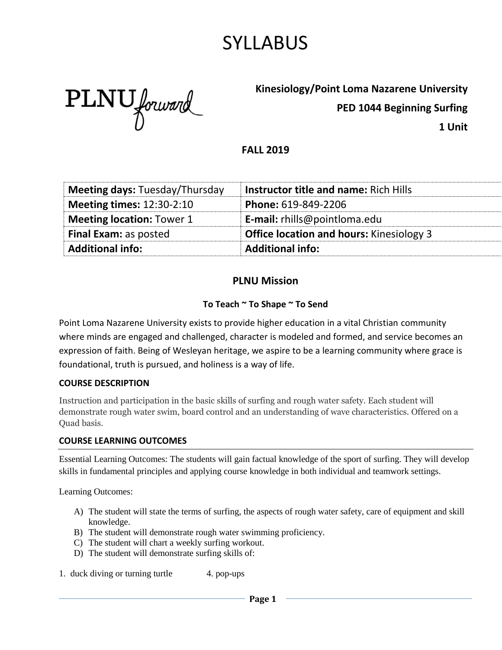# SYLLABUS

PLNU forward

**Kinesiology/Point Loma Nazarene University**

**PED 1044 Beginning Surfing**

**1 Unit**

#### **FALL 2019**

| <b>Additional info:</b>               | <b>Additional info:</b>                         |
|---------------------------------------|-------------------------------------------------|
| <b>Final Exam: as posted</b>          | <b>Office location and hours:</b> Kinesiology 3 |
| <b>Meeting location: Tower 1</b>      | <b>E-mail:</b> rhills@pointloma.edu             |
| <b>Meeting times: 12:30-2:10</b>      | Phone: 619-849-2206                             |
| <b>Meeting days: Tuesday/Thursday</b> | <b>Instructor title and name: Rich Hills</b>    |

### **PLNU Mission**

#### **To Teach ~ To Shape ~ To Send**

Point Loma Nazarene University exists to provide higher education in a vital Christian community where minds are engaged and challenged, character is modeled and formed, and service becomes an expression of faith. Being of Wesleyan heritage, we aspire to be a learning community where grace is foundational, truth is pursued, and holiness is a way of life.

#### **COURSE DESCRIPTION**

Instruction and participation in the basic skills of surfing and rough water safety. Each student will demonstrate rough water swim, board control and an understanding of wave characteristics. Offered on a Quad basis.

#### **COURSE LEARNING OUTCOMES**

Essential Learning Outcomes: The students will gain factual knowledge of the sport of surfing. They will develop skills in fundamental principles and applying course knowledge in both individual and teamwork settings.

Learning Outcomes:

- A) The student will state the terms of surfing, the aspects of rough water safety, care of equipment and skill knowledge.
- B) The student will demonstrate rough water swimming proficiency.
- C) The student will chart a weekly surfing workout.
- D) The student will demonstrate surfing skills of:

1. duck diving or turning turtle 4. pop-ups

**Page 1**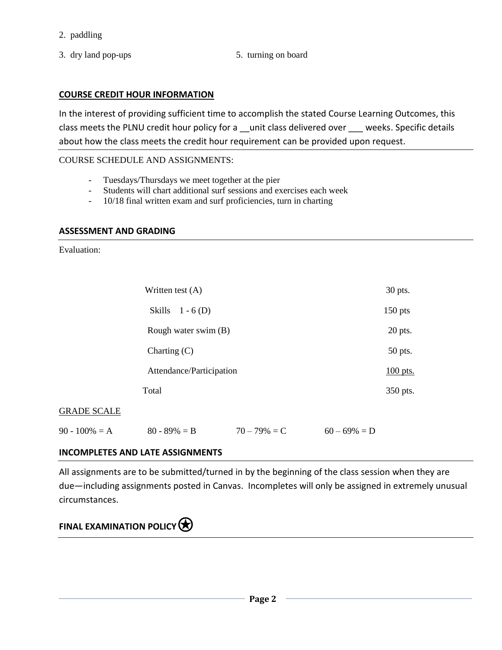- 2. paddling
- 3. dry land pop-ups 5. turning on board
- 

#### **COURSE CREDIT HOUR INFORMATION**

In the interest of providing sufficient time to accomplish the stated Course Learning Outcomes, this class meets the PLNU credit hour policy for a \_\_unit class delivered over \_\_\_ weeks. Specific details about how the class meets the credit hour requirement can be provided upon request.

#### COURSE SCHEDULE AND ASSIGNMENTS:

- Tuesdays/Thursdays we meet together at the pier
- Students will chart additional surf sessions and exercises each week
- 10/18 final written exam and surf proficiencies, turn in charting

#### **ASSESSMENT AND GRADING**

Evaluation:

|              | Written test $(A)$       | 30 pts.   |
|--------------|--------------------------|-----------|
|              | Skills<br>$1 - 6$ (D)    | $150$ pts |
|              | Rough water swim (B)     | 20 pts.   |
|              | Charting (C)             | 50 pts.   |
|              | Attendance/Participation | 100 pts.  |
|              | Total                    | 350 pts.  |
| <b>SCALE</b> |                          |           |
|              |                          |           |

### GRADE SCALE

| $90 - 100\% = A$<br>$60 - 69\% = D$<br>$70 - 79\% = C$<br>$80 - 89\% = B$ |
|---------------------------------------------------------------------------|
|---------------------------------------------------------------------------|

#### **INCOMPLETES AND LATE ASSIGNMENTS**

All assignments are to be submitted/turned in by the beginning of the class session when they are due—including assignments posted in Canvas. Incompletes will only be assigned in extremely unusual circumstances.

### **FINAL EXAMINATION POLICY** $\bigotimes$